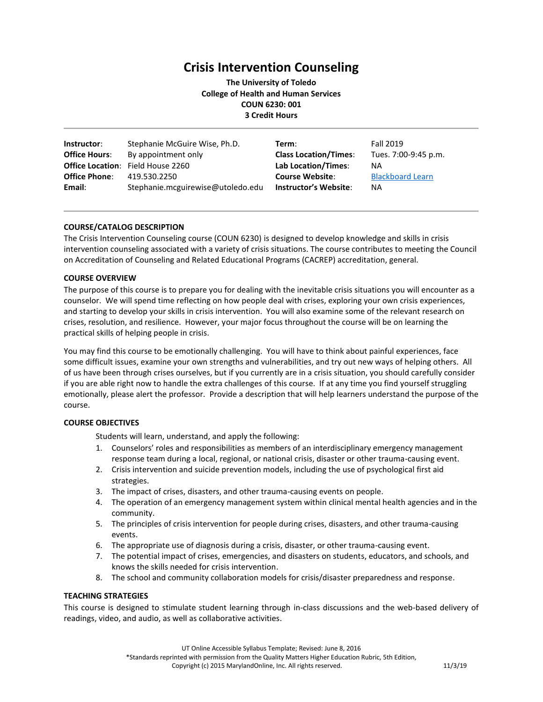# **Crisis Intervention Counseling**

**The University of Toledo College of Health and Human Services COUN 6230: 001 3 Credit Hours**

| Instructor:          | Stephanie McGuire Wise, Ph.D.            | Term:                        | Fall 2019               |
|----------------------|------------------------------------------|------------------------------|-------------------------|
| <b>Office Hours:</b> | By appointment only                      | <b>Class Location/Times:</b> | Tues. 7:00-9:45 p.m.    |
|                      | <b>Office Location:</b> Field House 2260 | Lab Location/Times:          | NA                      |
| <b>Office Phone:</b> | 419.530.2250                             | <b>Course Website:</b>       | <b>Blackboard Learn</b> |
| Email:               | Stephanie.mcguirewise@utoledo.edu        | <b>Instructor's Website:</b> | <b>NA</b>               |

# **COURSE/CATALOG DESCRIPTION**

The Crisis Intervention Counseling course (COUN 6230) is designed to develop knowledge and skills in crisis intervention counseling associated with a variety of crisis situations. The course contributes to meeting the Council on Accreditation of Counseling and Related Educational Programs (CACREP) accreditation, general.

## **COURSE OVERVIEW**

The purpose of this course is to prepare you for dealing with the inevitable crisis situations you will encounter as a counselor. We will spend time reflecting on how people deal with crises, exploring your own crisis experiences, and starting to develop your skills in crisis intervention. You will also examine some of the relevant research on crises, resolution, and resilience. However, your major focus throughout the course will be on learning the practical skills of helping people in crisis.

You may find this course to be emotionally challenging. You will have to think about painful experiences, face some difficult issues, examine your own strengths and vulnerabilities, and try out new ways of helping others. All of us have been through crises ourselves, but if you currently are in a crisis situation, you should carefully consider if you are able right now to handle the extra challenges of this course. If at any time you find yourself struggling emotionally, please alert the professor. Provide a description that will help learners understand the purpose of the course.

# **COURSE OBJECTIVES**

Students will learn, understand, and apply the following:

- 1. Counselors' roles and responsibilities as members of an interdisciplinary emergency management response team during a local, regional, or national crisis, disaster or other trauma-causing event.
- 2. Crisis intervention and suicide prevention models, including the use of psychological first aid strategies.
- 3. The impact of crises, disasters, and other trauma-causing events on people.
- 4. The operation of an emergency management system within clinical mental health agencies and in the community.
- 5. The principles of crisis intervention for people during crises, disasters, and other trauma-causing events.
- 6. The appropriate use of diagnosis during a crisis, disaster, or other trauma-causing event.
- 7. The potential impact of crises, emergencies, and disasters on students, educators, and schools, and knows the skills needed for crisis intervention.
- 8. The school and community collaboration models for crisis/disaster preparedness and response.

# **TEACHING STRATEGIES**

This course is designed to stimulate student learning through in-class discussions and the web-based delivery of readings, video, and audio, as well as collaborative activities.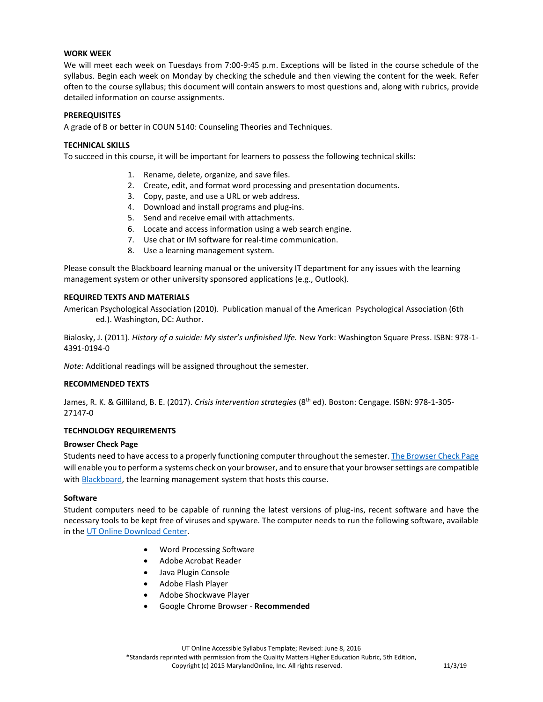## **WORK WEEK**

We will meet each week on Tuesdays from 7:00-9:45 p.m. Exceptions will be listed in the course schedule of the syllabus. Begin each week on Monday by checking the schedule and then viewing the content for the week. Refer often to the course syllabus; this document will contain answers to most questions and, along with rubrics, provide detailed information on course assignments.

## **PREREQUISITES**

A grade of B or better in COUN 5140: Counseling Theories and Techniques.

## **TECHNICAL SKILLS**

To succeed in this course, it will be important for learners to possess the following technical skills:

- 1. Rename, delete, organize, and save files.
- 2. Create, edit, and format word processing and presentation documents.
- 3. Copy, paste, and use a URL or web address.
- 4. Download and install programs and plug-ins.
- 5. Send and receive email with attachments.
- 6. Locate and access information using a web search engine.
- 7. Use chat or IM software for real-time communication.
- 8. Use a learning management system.

Please consult the Blackboard learning manual or the university IT department for any issues with the learning management system or other university sponsored applications (e.g., Outlook).

#### **REQUIRED TEXTS AND MATERIALS**

American Psychological Association (2010). Publication manual of the American Psychological Association (6th ed.). Washington, DC: Author.

Bialosky, J. (2011). *History of a suicide: My sister's unfinished life.* New York: Washington Square Press. ISBN: 978-1- 4391-0194-0

*Note:* Additional readings will be assigned throughout the semester.

## **RECOMMENDED TEXTS**

James, R. K. & Gilliland, B. E. (2017). *Crisis intervention strategies* (8th ed). Boston: Cengage. ISBN: 978-1-305- 27147-0

#### **TECHNOLOGY REQUIREMENTS**

#### **Browser Check Page**

Students need to have access to a properly functioning computer throughout the semester. [The Browser Check Page](http://www.utoledo.edu/dl/helpdesk/browser-check.html) will enable you to perform a systems check on your browser, and to ensure that your browser settings are compatible with **Blackboard**, the learning management system that hosts this course.

#### **Software**

Student computers need to be capable of running the latest versions of plug-ins, recent software and have the necessary tools to be kept free of viruses and spyware. The computer needs to run the following software, available in th[e UT Online Download Center.](http://www.utoledo.edu/dl/main/downloads.html)

- Word Processing Software
- Adobe Acrobat Reader
- Java Plugin Console
- Adobe Flash Player
- Adobe Shockwave Player
- Google Chrome Browser **Recommended**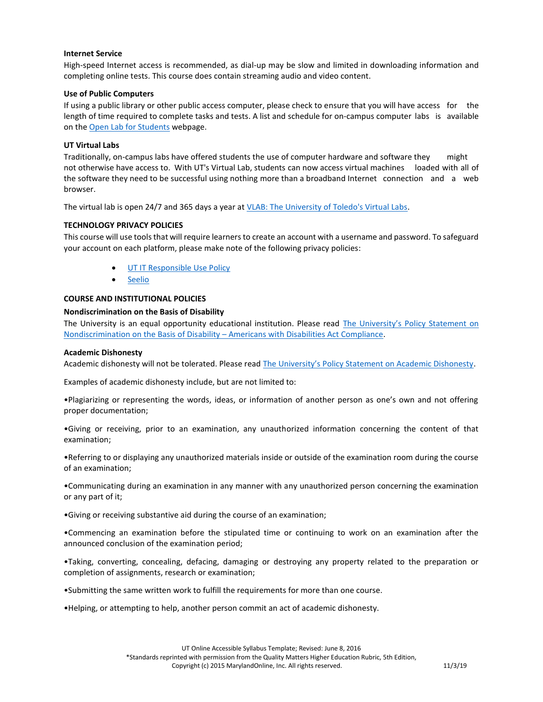## **Internet Service**

High-speed Internet access is recommended, as dial-up may be slow and limited in downloading information and completing online tests. This course does contain streaming audio and video content.

## **Use of Public Computers**

If using a public library or other public access computer, please check to ensure that you will have access for the length of time required to complete tasks and tests. A list and schedule for on-campus computer labs is available on th[e Open Lab for Students](http://www.utoledo.edu/it/CS/Lab_hours.html) webpage.

## **UT Virtual Labs**

Traditionally, on-campus labs have offered students the use of computer hardware and software they might not otherwise have access to. With UT's Virtual Lab, students can now access virtual machines loaded with all of the software they need to be successful using nothing more than a broadband Internet connection and a web browser.

The virtual lab is open 24/7 and 365 days a year at [VLAB: The University of Toledo's Virtual Labs.](http://www.utoledo.edu/it/VLab/Index.html)

## **TECHNOLOGY PRIVACY POLICIES**

This course will use tools that will require learners to create an account with a username and password. To safeguard your account on each platform, please make note of the following privacy policies:

- [UT IT Responsible Use Policy](http://www.utoledo.edu/policies/administration/info_tech/pdfs/3364_65_05.pdf)
- [Seelio](https://seelio.com/terms)

#### **COURSE AND INSTITUTIONAL POLICIES**

# **Nondiscrimination on the Basis of Disability**

The University is an equal opportunity educational institution. Please read [The University's Policy Statement on](https://www.utoledo.edu/policies/administration/diversity/pdfs/3364_50_03_Nondiscrimination_o.pdf)  [Nondiscrimination on the Basis of Disability](https://www.utoledo.edu/policies/administration/diversity/pdfs/3364_50_03_Nondiscrimination_o.pdf) – Americans with Disabilities Act Compliance.

#### **Academic Dishonesty**

Academic dishonesty will not be tolerated. Please read [The University's Policy Statement on Academic Dishonesty](http://www.utoledo.edu/dl/students/dishonesty.html).

Examples of academic dishonesty include, but are not limited to:

•Plagiarizing or representing the words, ideas, or information of another person as one's own and not offering proper documentation;

•Giving or receiving, prior to an examination, any unauthorized information concerning the content of that examination;

•Referring to or displaying any unauthorized materials inside or outside of the examination room during the course of an examination;

•Communicating during an examination in any manner with any unauthorized person concerning the examination or any part of it;

•Giving or receiving substantive aid during the course of an examination;

•Commencing an examination before the stipulated time or continuing to work on an examination after the announced conclusion of the examination period;

•Taking, converting, concealing, defacing, damaging or destroying any property related to the preparation or completion of assignments, research or examination;

•Submitting the same written work to fulfill the requirements for more than one course.

•Helping, or attempting to help, another person commit an act of academic dishonesty.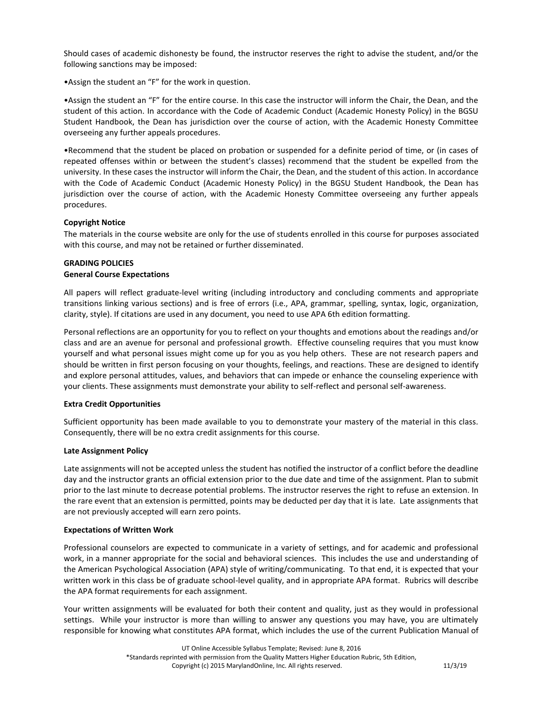Should cases of academic dishonesty be found, the instructor reserves the right to advise the student, and/or the following sanctions may be imposed:

•Assign the student an "F" for the work in question.

•Assign the student an "F" for the entire course. In this case the instructor will inform the Chair, the Dean, and the student of this action. In accordance with the Code of Academic Conduct (Academic Honesty Policy) in the BGSU Student Handbook, the Dean has jurisdiction over the course of action, with the Academic Honesty Committee overseeing any further appeals procedures.

•Recommend that the student be placed on probation or suspended for a definite period of time, or (in cases of repeated offenses within or between the student's classes) recommend that the student be expelled from the university. In these cases the instructor will inform the Chair, the Dean, and the student of this action. In accordance with the Code of Academic Conduct (Academic Honesty Policy) in the BGSU Student Handbook, the Dean has jurisdiction over the course of action, with the Academic Honesty Committee overseeing any further appeals procedures.

## **Copyright Notice**

The materials in the course website are only for the use of students enrolled in this course for purposes associated with this course, and may not be retained or further disseminated.

# **GRADING POLICIES General Course Expectations**

All papers will reflect graduate-level writing (including introductory and concluding comments and appropriate transitions linking various sections) and is free of errors (i.e., APA, grammar, spelling, syntax, logic, organization, clarity, style). If citations are used in any document, you need to use APA 6th edition formatting.

Personal reflections are an opportunity for you to reflect on your thoughts and emotions about the readings and/or class and are an avenue for personal and professional growth. Effective counseling requires that you must know yourself and what personal issues might come up for you as you help others. These are not research papers and should be written in first person focusing on your thoughts, feelings, and reactions. These are designed to identify and explore personal attitudes, values, and behaviors that can impede or enhance the counseling experience with your clients. These assignments must demonstrate your ability to self-reflect and personal self-awareness.

#### **Extra Credit Opportunities**

Sufficient opportunity has been made available to you to demonstrate your mastery of the material in this class. Consequently, there will be no extra credit assignments for this course.

# **Late Assignment Policy**

Late assignments will not be accepted unless the student has notified the instructor of a conflict before the deadline day and the instructor grants an official extension prior to the due date and time of the assignment. Plan to submit prior to the last minute to decrease potential problems. The instructor reserves the right to refuse an extension. In the rare event that an extension is permitted, points may be deducted per day that it is late. Late assignments that are not previously accepted will earn zero points.

#### **Expectations of Written Work**

Professional counselors are expected to communicate in a variety of settings, and for academic and professional work, in a manner appropriate for the social and behavioral sciences. This includes the use and understanding of the American Psychological Association (APA) style of writing/communicating. To that end, it is expected that your written work in this class be of graduate school-level quality, and in appropriate APA format. Rubrics will describe the APA format requirements for each assignment.

Your written assignments will be evaluated for both their content and quality, just as they would in professional settings. While your instructor is more than willing to answer any questions you may have, you are ultimately responsible for knowing what constitutes APA format, which includes the use of the current Publication Manual of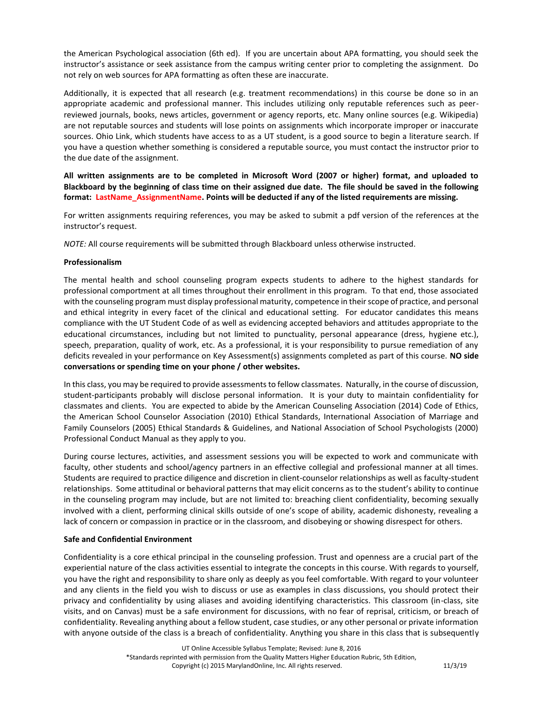the American Psychological association (6th ed). If you are uncertain about APA formatting, you should seek the instructor's assistance or seek assistance from the campus writing center prior to completing the assignment. Do not rely on web sources for APA formatting as often these are inaccurate.

Additionally, it is expected that all research (e.g. treatment recommendations) in this course be done so in an appropriate academic and professional manner. This includes utilizing only reputable references such as peerreviewed journals, books, news articles, government or agency reports, etc. Many online sources (e.g. Wikipedia) are not reputable sources and students will lose points on assignments which incorporate improper or inaccurate sources. Ohio Link, which students have access to as a UT student, is a good source to begin a literature search. If you have a question whether something is considered a reputable source, you must contact the instructor prior to the due date of the assignment.

**All written assignments are to be completed in Microsoft Word (2007 or higher) format, and uploaded to Blackboard by the beginning of class time on their assigned due date. The file should be saved in the following format: LastName\_AssignmentName. Points will be deducted if any of the listed requirements are missing.**

For written assignments requiring references, you may be asked to submit a pdf version of the references at the instructor's request.

*NOTE:* All course requirements will be submitted through Blackboard unless otherwise instructed.

## **Professionalism**

The mental health and school counseling program expects students to adhere to the highest standards for professional comportment at all times throughout their enrollment in this program. To that end, those associated with the counseling program must display professional maturity, competence in their scope of practice, and personal and ethical integrity in every facet of the clinical and educational setting. For educator candidates this means compliance with the UT Student Code of as well as evidencing accepted behaviors and attitudes appropriate to the educational circumstances, including but not limited to punctuality, personal appearance (dress, hygiene etc.), speech, preparation, quality of work, etc. As a professional, it is your responsibility to pursue remediation of any deficits revealed in your performance on Key Assessment(s) assignments completed as part of this course. **NO side conversations or spending time on your phone / other websites.**

In this class, you may be required to provide assessments to fellow classmates. Naturally, in the course of discussion, student-participants probably will disclose personal information. It is your duty to maintain confidentiality for classmates and clients. You are expected to abide by the American Counseling Association (2014) Code of Ethics, the American School Counselor Association (2010) Ethical Standards, International Association of Marriage and Family Counselors (2005) Ethical Standards & Guidelines, and National Association of School Psychologists (2000) Professional Conduct Manual as they apply to you.

During course lectures, activities, and assessment sessions you will be expected to work and communicate with faculty, other students and school/agency partners in an effective collegial and professional manner at all times. Students are required to practice diligence and discretion in client-counselor relationships as well as faculty-student relationships. Some attitudinal or behavioral patterns that may elicit concerns as to the student's ability to continue in the counseling program may include, but are not limited to: breaching client confidentiality, becoming sexually involved with a client, performing clinical skills outside of one's scope of ability, academic dishonesty, revealing a lack of concern or compassion in practice or in the classroom, and disobeying or showing disrespect for others.

#### **Safe and Confidential Environment**

Confidentiality is a core ethical principal in the counseling profession. Trust and openness are a crucial part of the experiential nature of the class activities essential to integrate the concepts in this course. With regards to yourself, you have the right and responsibility to share only as deeply as you feel comfortable. With regard to your volunteer and any clients in the field you wish to discuss or use as examples in class discussions, you should protect their privacy and confidentiality by using aliases and avoiding identifying characteristics. This classroom (in-class, site visits, and on Canvas) must be a safe environment for discussions, with no fear of reprisal, criticism, or breach of confidentiality. Revealing anything about a fellow student, case studies, or any other personal or private information with anyone outside of the class is a breach of confidentiality. Anything you share in this class that is subsequently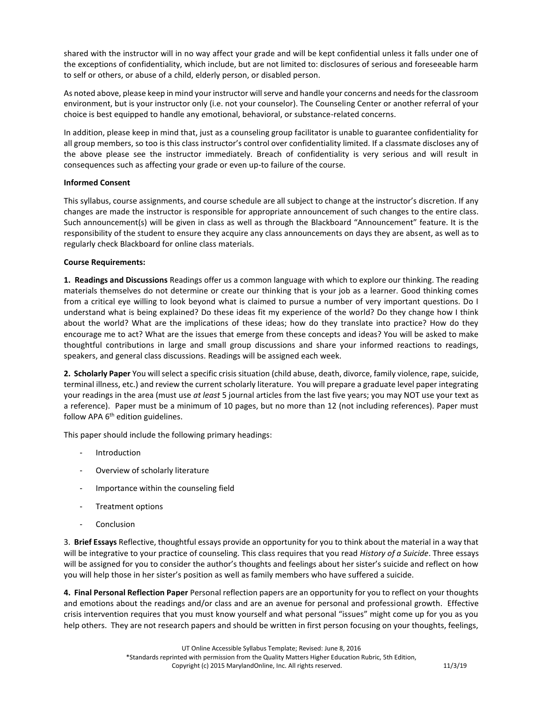shared with the instructor will in no way affect your grade and will be kept confidential unless it falls under one of the exceptions of confidentiality, which include, but are not limited to: disclosures of serious and foreseeable harm to self or others, or abuse of a child, elderly person, or disabled person.

As noted above, please keep in mind your instructor will serve and handle your concerns and needs for the classroom environment, but is your instructor only (i.e. not your counselor). The Counseling Center or another referral of your choice is best equipped to handle any emotional, behavioral, or substance-related concerns.

In addition, please keep in mind that, just as a counseling group facilitator is unable to guarantee confidentiality for all group members, so too is this class instructor's control over confidentiality limited. If a classmate discloses any of the above please see the instructor immediately. Breach of confidentiality is very serious and will result in consequences such as affecting your grade or even up-to failure of the course.

# **Informed Consent**

This syllabus, course assignments, and course schedule are all subject to change at the instructor's discretion. If any changes are made the instructor is responsible for appropriate announcement of such changes to the entire class. Such announcement(s) will be given in class as well as through the Blackboard "Announcement" feature. It is the responsibility of the student to ensure they acquire any class announcements on days they are absent, as well as to regularly check Blackboard for online class materials.

# **Course Requirements:**

**1. Readings and Discussions** Readings offer us a common language with which to explore our thinking. The reading materials themselves do not determine or create our thinking that is your job as a learner. Good thinking comes from a critical eye willing to look beyond what is claimed to pursue a number of very important questions. Do I understand what is being explained? Do these ideas fit my experience of the world? Do they change how I think about the world? What are the implications of these ideas; how do they translate into practice? How do they encourage me to act? What are the issues that emerge from these concepts and ideas? You will be asked to make thoughtful contributions in large and small group discussions and share your informed reactions to readings, speakers, and general class discussions. Readings will be assigned each week.

**2. Scholarly Paper** You will select a specific crisis situation (child abuse, death, divorce, family violence, rape, suicide, terminal illness, etc.) and review the current scholarly literature. You will prepare a graduate level paper integrating your readings in the area (must use *at least* 5 journal articles from the last five years; you may NOT use your text as a reference). Paper must be a minimum of 10 pages, but no more than 12 (not including references). Paper must follow APA  $6<sup>th</sup>$  edition guidelines.

This paper should include the following primary headings:

- **Introduction**
- Overview of scholarly literature
- Importance within the counseling field
- Treatment options
- **Conclusion**

3. **Brief Essays** Reflective, thoughtful essays provide an opportunity for you to think about the material in a way that will be integrative to your practice of counseling. This class requires that you read *History of a Suicide*. Three essays will be assigned for you to consider the author's thoughts and feelings about her sister's suicide and reflect on how you will help those in her sister's position as well as family members who have suffered a suicide.

**4. Final Personal Reflection Paper** Personal reflection papers are an opportunity for you to reflect on your thoughts and emotions about the readings and/or class and are an avenue for personal and professional growth. Effective crisis intervention requires that you must know yourself and what personal "issues" might come up for you as you help others. They are not research papers and should be written in first person focusing on your thoughts, feelings,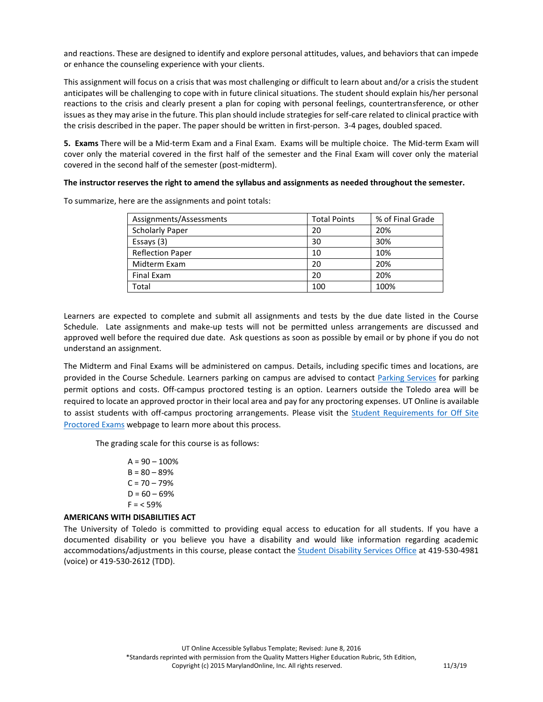and reactions. These are designed to identify and explore personal attitudes, values, and behaviors that can impede or enhance the counseling experience with your clients.

This assignment will focus on a crisis that was most challenging or difficult to learn about and/or a crisis the student anticipates will be challenging to cope with in future clinical situations. The student should explain his/her personal reactions to the crisis and clearly present a plan for coping with personal feelings, countertransference, or other issues as they may arise in the future. This plan should include strategies for self-care related to clinical practice with the crisis described in the paper. The paper should be written in first-person. 3-4 pages, doubled spaced.

**5. Exams** There will be a Mid-term Exam and a Final Exam. Exams will be multiple choice. The Mid-term Exam will cover only the material covered in the first half of the semester and the Final Exam will cover only the material covered in the second half of the semester (post-midterm).

## **The instructor reserves the right to amend the syllabus and assignments as needed throughout the semester.**

| Assignments/Assessments | <b>Total Points</b> | % of Final Grade |
|-------------------------|---------------------|------------------|
| <b>Scholarly Paper</b>  | 20                  | 20%              |
| Essays (3)              | 30                  | 30%              |
| <b>Reflection Paper</b> | 10                  | 10%              |
| Midterm Exam            | 20                  | 20%              |
| Final Exam              | 20                  | 20%              |
| Total                   | 100                 | 100%             |

To summarize, here are the assignments and point totals:

Learners are expected to complete and submit all assignments and tests by the due date listed in the Course Schedule. Late assignments and make-up tests will not be permitted unless arrangements are discussed and approved well before the required due date. Ask questions as soon as possible by email or by phone if you do not understand an assignment.

The Midterm and Final Exams will be administered on campus. Details, including specific times and locations, are provided in the Course Schedule. Learners parking on campus are advised to contact [Parking Services](http://www.utoledo.edu/parkingservices/index.html) for parking permit options and costs. Off-campus proctored testing is an option. Learners outside the Toledo area will be required to locate an approved proctor in their local area and pay for any proctoring expenses. UT Online is available to assist students with off-campus proctoring arrangements. Please visit the Student Requirements for Off Site [Proctored Exams](http://www.utoledo.edu/dl/students/proctor_info.html) webpage to learn more about this process.

The grading scale for this course is as follows:

 $A = 90 - 100%$  $B = 80 - 89%$  $C = 70 - 79%$  $D = 60 - 69%$  $F = 59%$ 

# **AMERICANS WITH DISABILITIES ACT**

The University of Toledo is committed to providing equal access to education for all students. If you have a documented disability or you believe you have a disability and would like information regarding academic accommodations/adjustments in this course, please contact the **Student Disability Services Office** at 419-530-4981 (voice) or 419-530-2612 (TDD).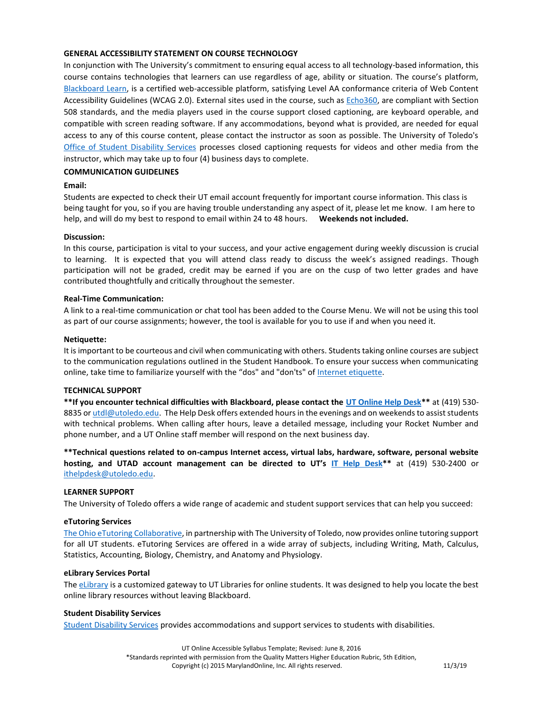## **GENERAL ACCESSIBILITY STATEMENT ON COURSE TECHNOLOGY**

In conjunction with The University's commitment to ensuring equal access to all technology-based information, this course contains technologies that learners can use regardless of age, ability or situation. The course's platform, [Blackboard Learn,](http://www.blackboard.com/Platforms/Learn/Resources/Accessibility.aspx) is a certified web-accessible platform, satisfying Level AA conformance criteria of Web Content Accessibility Guidelines (WCAG 2.0). External sites used in the course, such as [Echo360,](http://echo360.com/press-release/echo360-earns-vpat-federal-government-section-508-accessibility-standard-credentialing) are compliant with Section 508 standards, and the media players used in the course support closed captioning, are keyboard operable, and compatible with screen reading software. If any accommodations, beyond what is provided, are needed for equal access to any of this course content, please contact the instructor as soon as possible. The University of Toledo's [Office of Student Disability Services](http://www.utoledo.edu/offices/student-disability-services/) processes closed captioning requests for videos and other media from the instructor, which may take up to four (4) business days to complete.

## **COMMUNICATION GUIDELINES**

## **Email:**

Students are expected to check their UT email account frequently for important course information. This class is being taught for you, so if you are having trouble understanding any aspect of it, please let me know. I am here to help, and will do my best to respond to email within 24 to 48 hours. **Weekends not included.**

#### **Discussion:**

In this course, participation is vital to your success, and your active engagement during weekly discussion is crucial to learning. It is expected that you will attend class ready to discuss the week's assigned readings. Though participation will not be graded, credit may be earned if you are on the cusp of two letter grades and have contributed thoughtfully and critically throughout the semester.

#### **Real-Time Communication:**

A link to a real-time communication or chat tool has been added to the Course Menu. We will not be using this tool as part of our course assignments; however, the tool is available for you to use if and when you need it.

#### **Netiquette:**

It is important to be courteous and civil when communicating with others. Students taking online courses are subject to the communication regulations outlined in the Student Handbook. To ensure your success when communicating online, take time to familiarize yourself with the "dos" and "don'ts" of [Internet etiquette.](https://www.utoledo.edu/dl/students/netiquette.html)

#### **TECHNICAL SUPPORT**

**\*\*If you encounter technical difficulties with Blackboard, please contact the [UT Online Help Desk\\*](http://www.utoledo.edu/dl/helpdesk/index.html)\*** at (419) 530 8835 o[r utdl@utoledo.edu.](mailto:utdl@utoledo.edu) The Help Desk offers extended hours in the evenings and on weekends to assist students with technical problems. When calling after hours, leave a detailed message, including your Rocket Number and phone number, and a UT Online staff member will respond on the next business day.

**\*\*Technical questions related to on-campus Internet access, virtual labs, hardware, software, personal website hosting, and UTAD account management can be directed to UT's [IT Help Desk\\*](http://www.utoledo.edu/it/CS/HelpDesk.html)\*** at (419) 530-2400 or [ithelpdesk@utoledo.edu.](mailto:ithelpdesk@utoledo.edu)

## **LEARNER SUPPORT**

The University of Toledo offers a wide range of academic and student support services that can help you succeed:

# **eTutoring Services**

[The Ohio eTutoring Collaborative,](https://www.etutoring.org/login.cfm?institutionid=232&returnPage) in partnership with The University of Toledo, now provides online tutoring support for all UT students. eTutoring Services are offered in a wide array of subjects, including Writing, Math, Calculus, Statistics, Accounting, Biology, Chemistry, and Anatomy and Physiology.

#### **eLibrary Services Portal**

Th[e eLibrary](http://www.utoledo.edu/dl/students/elibrary.html) is a customized gateway to UT Libraries for online students. It was designed to help you locate the best online library resources without leaving Blackboard.

## **Student Disability Services**

[Student Disability Services](http://www.utoledo.edu/offices/student-disability-services/index.html) provides accommodations and support services to students with disabilities.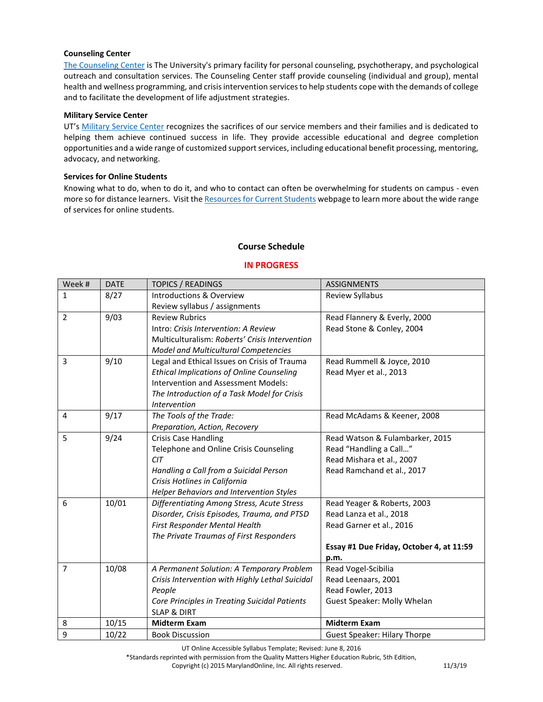## **Counseling Center**

[The Counseling Center](http://www.utoledo.edu/studentaffairs/counseling/) is The University's primary facility for personal counseling, psychotherapy, and psychological outreach and consultation services. The Counseling Center staff provide counseling (individual and group), mental health and wellness programming, and crisis intervention services to help students cope with the demands of college and to facilitate the development of life adjustment strategies.

## **Military Service Center**

UT's [Military Service Center](https://www.utoledo.edu/call/military/index.html) recognizes the sacrifices of our service members and their families and is dedicated to helping them achieve continued success in life. They provide accessible educational and degree completion opportunities and a wide range of customized support services, including educational benefit processing, mentoring, advocacy, and networking.

## **Services for Online Students**

Knowing what to do, when to do it, and who to contact can often be overwhelming for students on campus - even more so for distance learners. Visit th[e Resources for Current Students](https://www.utoledo.edu/dl/students/index.html) webpage to learn more about the wide range of services for online students.

# **Course Schedule**

# **IN PROGRESS**

| Week #         | <b>DATE</b> | <b>TOPICS / READINGS</b>                         | <b>ASSIGNMENTS</b>                       |
|----------------|-------------|--------------------------------------------------|------------------------------------------|
| $\mathbf{1}$   | 8/27        | Introductions & Overview                         | Review Syllabus                          |
|                |             | Review syllabus / assignments                    |                                          |
| $\overline{2}$ | 9/03        | <b>Review Rubrics</b>                            | Read Flannery & Everly, 2000             |
|                |             | Intro: Crisis Intervention: A Review             | Read Stone & Conley, 2004                |
|                |             | Multiculturalism: Roberts' Crisis Intervention   |                                          |
|                |             | Model and Multicultural Competencies             |                                          |
| 3              | 9/10        | Legal and Ethical Issues on Crisis of Trauma     | Read Rummell & Joyce, 2010               |
|                |             | <b>Ethical Implications of Online Counseling</b> | Read Myer et al., 2013                   |
|                |             | Intervention and Assessment Models:              |                                          |
|                |             | The Introduction of a Task Model for Crisis      |                                          |
|                |             | Intervention                                     |                                          |
| 4              | 9/17        | The Tools of the Trade:                          | Read McAdams & Keener, 2008              |
|                |             | Preparation, Action, Recovery                    |                                          |
| 5              | 9/24        | <b>Crisis Case Handling</b>                      | Read Watson & Fulambarker, 2015          |
|                |             | Telephone and Online Crisis Counseling           | Read "Handling a Call"                   |
|                |             | <b>CIT</b>                                       | Read Mishara et al., 2007                |
|                |             | Handling a Call from a Suicidal Person           | Read Ramchand et al., 2017               |
|                |             | Crisis Hotlines in California                    |                                          |
|                |             | Helper Behaviors and Intervention Styles         |                                          |
| 6              | 10/01       | Differentiating Among Stress, Acute Stress       | Read Yeager & Roberts, 2003              |
|                |             | Disorder, Crisis Episodes, Trauma, and PTSD      | Read Lanza et al., 2018                  |
|                |             | First Responder Mental Health                    | Read Garner et al., 2016                 |
|                |             | The Private Traumas of First Responders          |                                          |
|                |             |                                                  | Essay #1 Due Friday, October 4, at 11:59 |
|                |             |                                                  | p.m.                                     |
| $\overline{7}$ | 10/08       | A Permanent Solution: A Temporary Problem        | Read Vogel-Scibilia                      |
|                |             | Crisis Intervention with Highly Lethal Suicidal  | Read Leenaars, 2001                      |
|                |             | People                                           | Read Fowler, 2013                        |
|                |             | Core Principles in Treating Suicidal Patients    | Guest Speaker: Molly Whelan              |
|                |             | <b>SLAP &amp; DIRT</b>                           |                                          |
| 8              | 10/15       | <b>Midterm Exam</b>                              | <b>Midterm Exam</b>                      |
| 9              | 10/22       | <b>Book Discussion</b>                           | <b>Guest Speaker: Hilary Thorpe</b>      |

UT Online Accessible Syllabus Template; Revised: June 8, 2016

\*Standards reprinted with permission from the Quality Matters Higher Education Rubric, 5th Edition,

Copyright (c) 2015 MarylandOnline, Inc. All rights reserved. 11/3/19